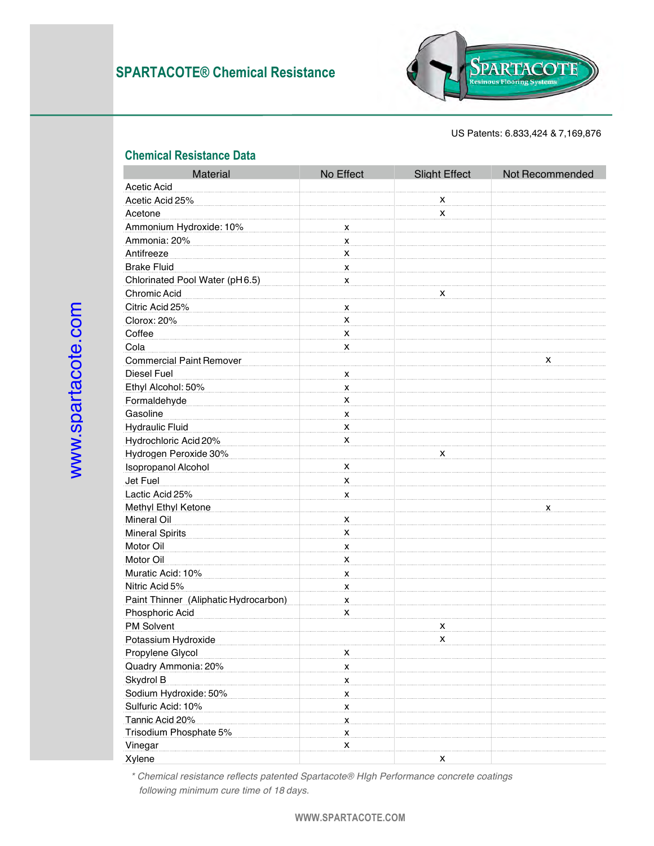

US Patents: 6.833,424 & 7,169,876

## **Chemical Resistance Data**

| Material                              | No Effect                 | <b>Slight Effect</b> | Not Recommended                |
|---------------------------------------|---------------------------|----------------------|--------------------------------|
| Acetic Acid                           |                           |                      |                                |
| Acetic Acid 25%                       |                           |                      |                                |
| Acetone                               |                           |                      |                                |
| Ammonium Hydroxide: 10%               |                           |                      |                                |
| Ammonia: 20%                          |                           |                      |                                |
| Antifreeze                            |                           |                      |                                |
| <b>Brake Fluid</b>                    |                           |                      |                                |
| Chlorinated Pool Water (pH6.5)        |                           |                      |                                |
| Chromic Acid                          |                           |                      |                                |
| Citric Acid 25%                       |                           |                      |                                |
| Clorox: 20%                           |                           |                      |                                |
| Coffee                                |                           |                      | <b>Resinous Flooring Syste</b> |
| Cola                                  |                           |                      |                                |
| <b>Commercial Paint Remover</b>       |                           |                      |                                |
| Diesel Fuel                           |                           |                      |                                |
| Ethyl Alcohol: 50%                    |                           |                      |                                |
| Formaldehyde                          |                           |                      |                                |
| Gasoline                              | $\mathsf{x}$              |                      |                                |
| <b>Hydraulic Fluid</b>                | X                         |                      |                                |
| Hydrochloric Acid 20%                 | х                         |                      |                                |
| Hydrogen Peroxide 30%                 |                           | х                    |                                |
| <b>Isopropanol Alcohol</b>            | x                         |                      |                                |
| Jet Fuel                              | X                         |                      |                                |
| Lactic Acid 25%                       | x                         |                      |                                |
| <b>Methyl Ethyl Ketone</b>            |                           |                      | x                              |
| Mineral Oil                           | x                         |                      |                                |
| <b>Mineral Spirits</b>                | X                         |                      |                                |
| Motor Oil                             | X                         |                      |                                |
| Motor Oil                             | X                         |                      |                                |
| Muratic Acid: 10%                     | X                         |                      |                                |
| Nitric Acid 5%                        | X                         |                      |                                |
| Paint Thinner (Aliphatic Hydrocarbon) | $\boldsymbol{\mathsf{X}}$ |                      |                                |
| <b>Phosphoric Acid</b>                | х                         |                      |                                |
| <b>PM Solvent</b>                     |                           | х                    |                                |
| Potassium Hydroxide                   |                           | х                    |                                |
| Propylene Glycol                      | X                         |                      |                                |
| Quadry Ammonia: 20%                   | X                         |                      |                                |
| Skydrol B                             | $\mathsf{x}$              |                      |                                |
| Sodium Hydroxide: 50%                 | x                         |                      |                                |
| Sulfuric Acid: 10%                    | x                         |                      |                                |
| Tannic Acid 20%                       | $\boldsymbol{\mathsf{x}}$ |                      |                                |
| Trisodium Phosphate 5%                | X                         |                      |                                |
| Vinegar                               | X                         |                      |                                |
| Xylene                                |                           | х                    |                                |

Ξ

*\* Chemical resistance reflects patented Spartacote® HIgh Performance concrete coatings following minimum cure time of 18 days.*